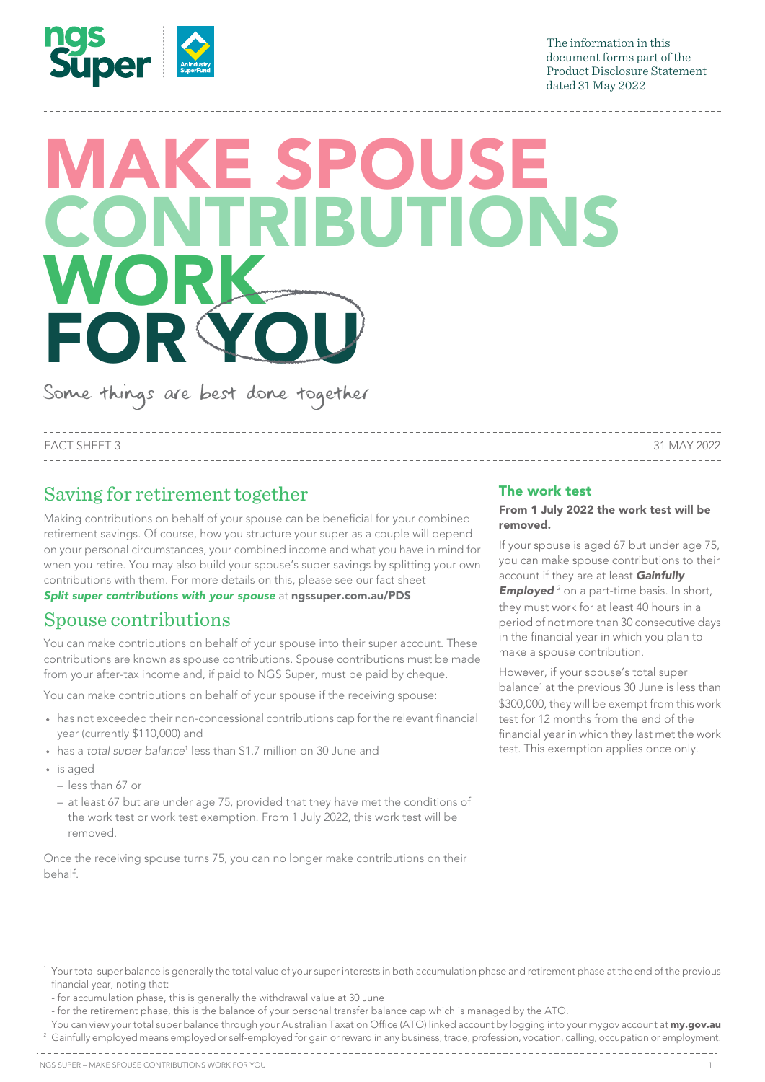

The information in this document forms part of the This document forms part of the Product Disclosure Statement Product Disclosure Statement 1 roduct Disclosure<br>dated 31 May 2022

# MAKE SPOUSE CONTRIBUTIONS CONTRIBUTIONS WORK FOR YOU

------------

Some things are best done together

--------------------------------FACT SHEET 3 31 MAY 2022 ---------------

## Saving for retirement together

Making contributions on behalf of your spouse can be beneficial for your combined  $\widetilde{\mathcal{C}}$  retirement savings. Of course, how you structure your super as a couple will depend **removed.** on your personal circumstances, your combined income and what you have in mind for when you retire. You may also build your spouse's super savings by splitting your own the vaccount if contributions with them. For more details on this, please see our fact sheet

contributions with them. For more details on this, please see our fact sh<sub>'</sub><br>**[Split super contributions with your spouse](https://www.ngssuper.com.au/files/documents/split-super-contributions)** at **[ngssuper.com.au/PDS](https://www.ngssuper.com.au/PDS)** 

#### Spouse contributions parties teamining and your pouse contributions

You can make contributions on behalf of your spouse into their super account. These<br>contributions are known as spouse contributions. Spouse contributions must be made contributions are known as spouse contributions. Spouse contributions must be made than the a spouse contribution. commoduons are known as spouse commoduons, spouse commoduons must be<br>from your after-tax income and, if paid to NGS Super, must be paid by cheque. Super, must be paid by cheque. However, if your spouse's total super

You can make contributions on behalf of your spouse if the receiving spouse:

- \$300,000, they will be exempt from th<br>has not exceeded their non-concessional contributions cap for the relevant financial test for 12 months from the end of th vear (currently \$110,000) and
- has a *total super balance*1 less than \$1.7 million on 30 June and
- is aged
	- less than 67 or
	- tess marrer or<br>- at least 67 but are under age 75, provided that they have met the conditions of the work test or work test exemption. From 1 July 2022, this work test will be removed.  $\sim$  if the spoon spouse are conditions or  $\sim$  1.6m transfer balance cap, splitting balance cap, splitting balance cap, splitting balance cap, splitting balance cap, splitting balance cap, splitting balance cap, splitting

Once the receiving spouse turns 75, you can no longer make contributions on their behalf.

### The work test

#### From 1 July 2022 the work test will be removed.

If your spouse is aged 67 but under age 75, you can make spouse contributions to their account if they are at least Gainfully e at nossuper.com.au/PDS **Employed**<sup>2</sup> on a part-time basis. In short, they must work for at least 40 hours in a transfer them to your spouse can spouse can spouse can spouse can sp period of not more than 30 consecutive days in the financial year in which you plan to make a spouse contribution.

if the *association to retirement* balance<sup>1</sup> at the previous 30 June is less than \$300,000, they will be exempt from this work test for 12 months from the end of the financial year in which they last met the work hillion on 30 June and than you are than the test. This exemption applies once only.

- <sup>1</sup> Your total super balance is generally the total value of your super interests in both accumulation phase and retirement phase at the end of the previous financial year, noting that: split contributions made to your account during the previous financial year. Previous financial years of the p
- for accumulation phase, this is generally the withdrawal value at 30 June
- for the retirement phase, this is the balance of your personal transfer balance cap which is managed by the ATO.
- You can view your total super balance through your Australian Taxation Office (ATO) linked account by logging into your mygov account at [my.gov.au](https://www.my.gov.au)  $^{\rm 2}$  Gainfully employed means employed or self-employed for gain or reward in any business, trade, profession, vocation, calling, occupation or employment.
-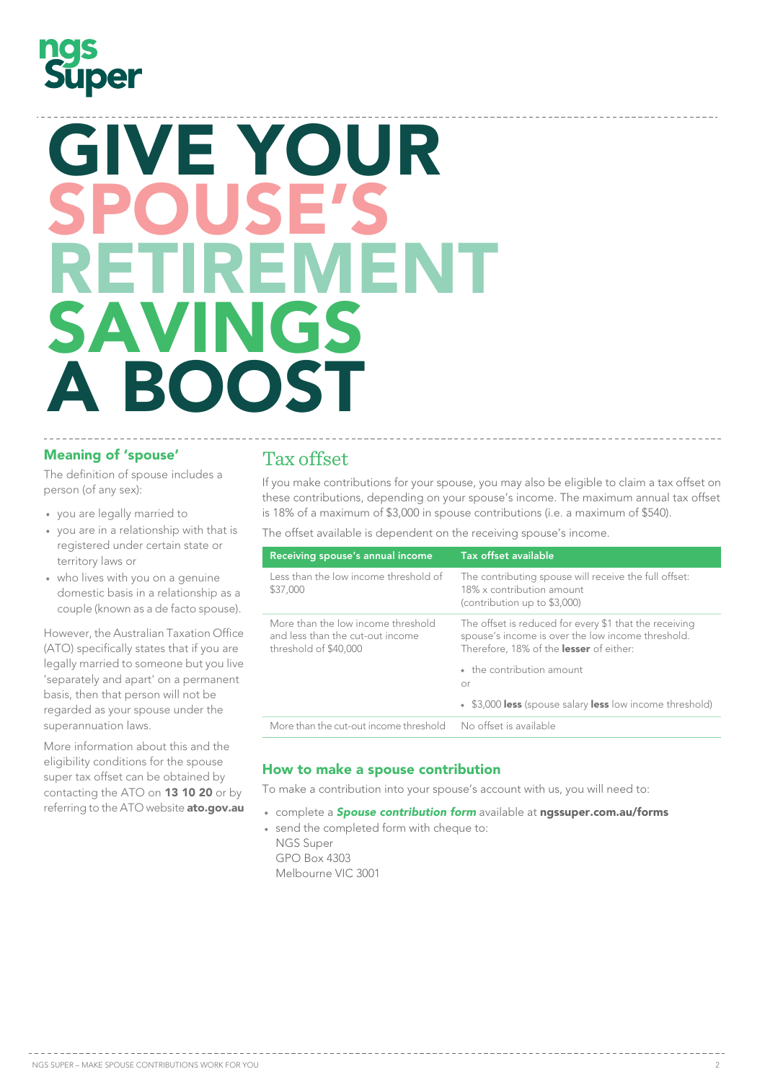# $\bigcap$ **Super**

# GIVE YOUR<br>SPALISER E'S RETIREMENT SAVINGS<br>A ROOST A BOOST SPOUSE'S<br>DETIDEMENT KE UREWEN I<br>SAVINGS **A BOOST**

## Meaning of 'spouse'

The definition of spouse includes a person (of any sex):

- you are legally married to
- you are in a relationship with that is territory laws or
- $\bullet$  who lives with you on a genuine<br>domestic basis in a relationship as a domestic basis in a relationship as a domestic basis in a relationship as a<br>couple (known as a de facto spouse).

More information about this and the eligibility conditions for the spouse super tax offset can be obtained by contacting the ATO on 13 10 20 or by referring to the ATO website [ato.gov.au](https://www.ato.gov.au)

## Tax offset

If you make contributions for your spouse, you may also be eligible to claim a tax offset on these contributions, depending on your spouse's income. The maximum annual tax offset is 18% of a maximum of \$3,000 in spouse contributions (i.e. a maximum of \$540).

The offset available is dependent on the receiving spouse's income.

| registered under certain state or                                                                                                                                                                                                                                            |                                                                                                 |                                                                                                                                                        |
|------------------------------------------------------------------------------------------------------------------------------------------------------------------------------------------------------------------------------------------------------------------------------|-------------------------------------------------------------------------------------------------|--------------------------------------------------------------------------------------------------------------------------------------------------------|
| territory laws or                                                                                                                                                                                                                                                            | Receiving spouse's annual income                                                                | <b>Tax offset available</b>                                                                                                                            |
| • who lives with you on a genuine<br>domestic basis in a relationship as a<br>couple (known as a de facto spouse).                                                                                                                                                           | Less than the low income threshold of<br>\$37,000                                               | The contributing spouse will receive the full offset:<br>18% x contribution amount<br>(contribution up to \$3,000)                                     |
| However, the Australian Taxation Office<br>(ATO) specifically states that if you are<br>legally married to someone but you live<br>'separately and apart' on a permanent<br>basis, then that person will not be<br>regarded as your spouse under the<br>superannuation laws. | More than the low income threshold<br>and less than the cut-out income<br>threshold of \$40,000 | The offset is reduced for every \$1 that the receiving<br>spouse's income is over the low income threshold.<br>Therefore, 18% of the lesser of either: |
|                                                                                                                                                                                                                                                                              |                                                                                                 | • the contribution amount<br>or                                                                                                                        |
|                                                                                                                                                                                                                                                                              |                                                                                                 | • \$3,000 less (spouse salary less low income threshold)                                                                                               |
|                                                                                                                                                                                                                                                                              | More than the cut-out income threshold                                                          | No offset is available                                                                                                                                 |
|                                                                                                                                                                                                                                                                              |                                                                                                 |                                                                                                                                                        |

## How to make a spouse contribution support than you are than you

To make a contribution into your spouse's account with us, you will need to: of *Veterans' a commodition into your* sp

- complete a **Spouse contribution form** available at [ngssuper.com.au/forms](https://ngssuper.com.au/forms)
- send the completed form with cheque to: NGS Super contributions between spouse accounts could also help to maximise the combined also help to maximise the combined also help to maximise the combined also help to maximise the combined also help to maximise the co GPO Box 4303 and the retirement phase super that is moved in the retirement phase.

Melbourne VIC 3001 INCIDUMITIC VIC JUDI